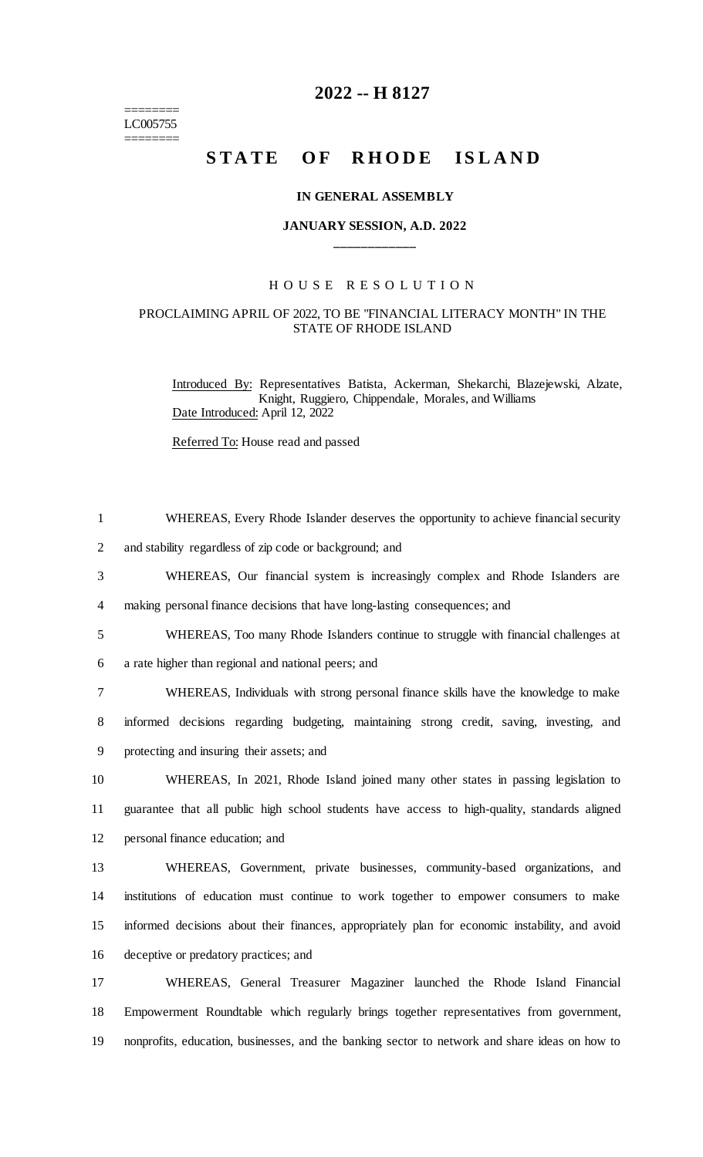======== LC005755 ========

## **2022 -- H 8127**

# STATE OF RHODE ISLAND

#### **IN GENERAL ASSEMBLY**

## **JANUARY SESSION, A.D. 2022 \_\_\_\_\_\_\_\_\_\_\_\_**

### H O U S E R E S O L U T I O N

#### PROCLAIMING APRIL OF 2022, TO BE "FINANCIAL LITERACY MONTH" IN THE STATE OF RHODE ISLAND

Introduced By: Representatives Batista, Ackerman, Shekarchi, Blazejewski, Alzate, Knight, Ruggiero, Chippendale, Morales, and Williams Date Introduced: April 12, 2022

Referred To: House read and passed

| $\mathbf{1}$   | WHEREAS, Every Rhode Islander deserves the opportunity to achieve financial security            |
|----------------|-------------------------------------------------------------------------------------------------|
| $\overline{2}$ | and stability regardless of zip code or background; and                                         |
| 3              | WHEREAS, Our financial system is increasingly complex and Rhode Islanders are                   |
| $\overline{4}$ | making personal finance decisions that have long-lasting consequences; and                      |
| 5              | WHEREAS, Too many Rhode Islanders continue to struggle with financial challenges at             |
| 6              | a rate higher than regional and national peers; and                                             |
| 7              | WHEREAS, Individuals with strong personal finance skills have the knowledge to make             |
| $8\,$          | informed decisions regarding budgeting, maintaining strong credit, saving, investing, and       |
| 9              | protecting and insuring their assets; and                                                       |
| 10             | WHEREAS, In 2021, Rhode Island joined many other states in passing legislation to               |
| 11             | guarantee that all public high school students have access to high-quality, standards aligned   |
| 12             | personal finance education; and                                                                 |
| 13             | WHEREAS, Government, private businesses, community-based organizations, and                     |
| 14             | institutions of education must continue to work together to empower consumers to make           |
| 15             | informed decisions about their finances, appropriately plan for economic instability, and avoid |
| 16             | deceptive or predatory practices; and                                                           |
| 17             | WHEREAS, General Treasurer Magaziner launched the Rhode Island Financial                        |
| 18             | Empowerment Roundtable which regularly brings together representatives from government,         |
| 19             | nonprofits, education, businesses, and the banking sector to network and share ideas on how to  |